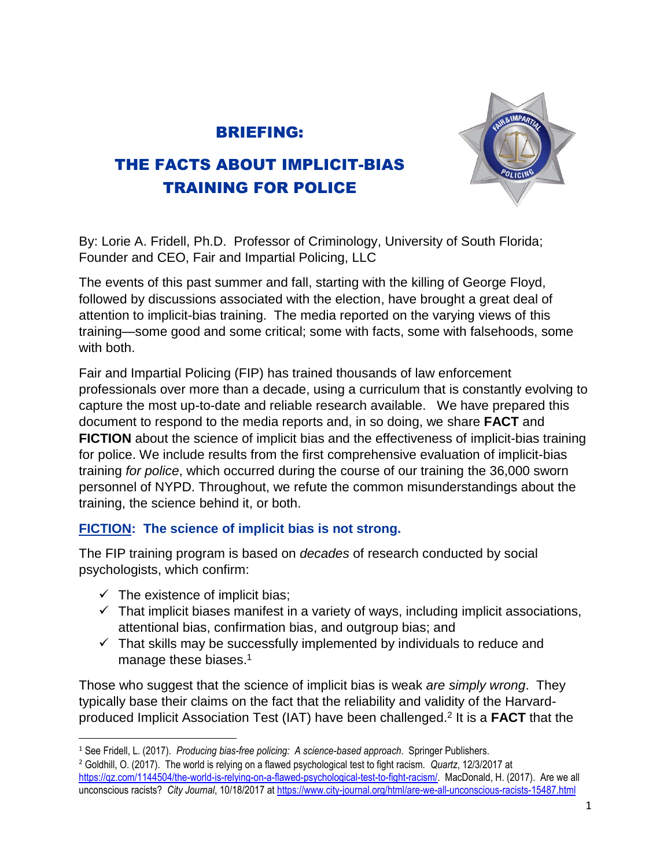# BRIEFING:



# THE FACTS ABOUT IMPLICIT-BIAS TRAINING FOR POLICE

By: Lorie A. Fridell, Ph.D. Professor of Criminology, University of South Florida; Founder and CEO, Fair and Impartial Policing, LLC

The events of this past summer and fall, starting with the killing of George Floyd, followed by discussions associated with the election, have brought a great deal of attention to implicit-bias training. The media reported on the varying views of this training—some good and some critical; some with facts, some with falsehoods, some with both.

Fair and Impartial Policing (FIP) has trained thousands of law enforcement professionals over more than a decade, using a curriculum that is constantly evolving to capture the most up-to-date and reliable research available. We have prepared this document to respond to the media reports and, in so doing, we share **FACT** and **FICTION** about the science of implicit bias and the effectiveness of implicit-bias training for police. We include results from the first comprehensive evaluation of implicit-bias training *for police*, which occurred during the course of our training the 36,000 sworn personnel of NYPD. Throughout, we refute the common misunderstandings about the training, the science behind it, or both.

## **FICTION: The science of implicit bias is not strong.**

The FIP training program is based on *decades* of research conducted by social psychologists, which confirm:

- $\checkmark$  The existence of implicit bias;
- $\checkmark$  That implicit biases manifest in a variety of ways, including implicit associations, attentional bias, confirmation bias, and outgroup bias; and
- $\checkmark$  That skills may be successfully implemented by individuals to reduce and manage these biases.<sup>1</sup>

Those who suggest that the science of implicit bias is weak *are simply wrong*. They typically base their claims on the fact that the reliability and validity of the Harvardproduced Implicit Association Test (IAT) have been challenged. 2 It is a **FACT** that the

 $\overline{\phantom{a}}$ <sup>1</sup> See Fridell, L. (2017). *Producing bias-free policing: A science-based approach*. Springer Publishers.

<sup>2</sup> Goldhill, O. (2017). The world is relying on a flawed psychological test to fight racism. *Quartz*, 12/3/2017 at [https://qz.com/1144504/the-world-is-relying-on-a-flawed-psychological-test-to-fight-racism/.](https://qz.com/1144504/the-world-is-relying-on-a-flawed-psychological-test-to-fight-racism/) MacDonald, H. (2017). Are we all unconscious racists? *City Journal*, 10/18/2017 at<https://www.city-journal.org/html/are-we-all-unconscious-racists-15487.html>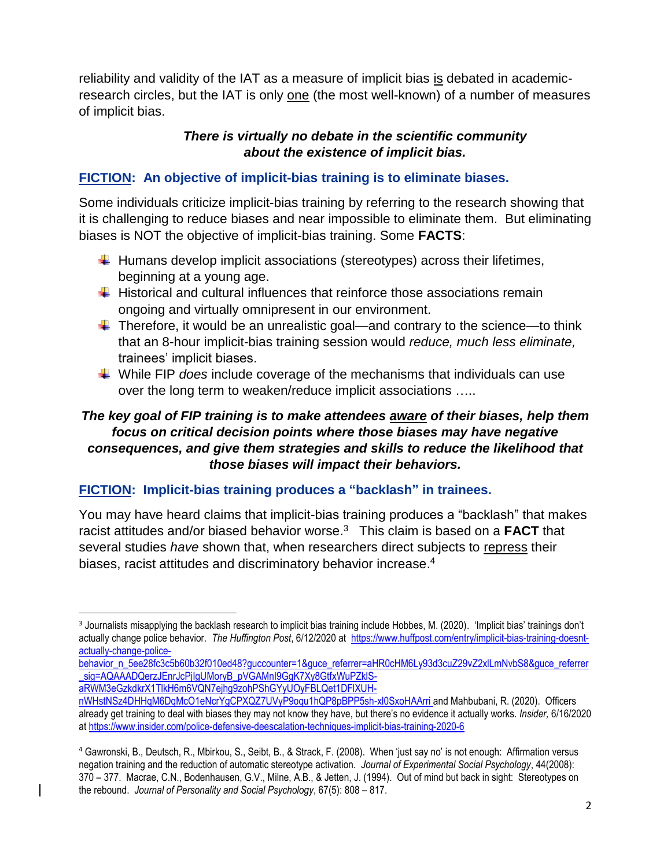reliability and validity of the IAT as a measure of implicit bias is debated in academicresearch circles, but the IAT is only one (the most well-known) of a number of measures of implicit bias.

#### *There is virtually no debate in the scientific community about the existence of implicit bias.*

## **FICTION: An objective of implicit-bias training is to eliminate biases.**

Some individuals criticize implicit-bias training by referring to the research showing that it is challenging to reduce biases and near impossible to eliminate them. But eliminating biases is NOT the objective of implicit-bias training. Some **FACTS**:

- $\ddot{\phantom{1}}$  Humans develop implicit associations (stereotypes) across their lifetimes, beginning at a young age.
- $\ddot$  Historical and cultural influences that reinforce those associations remain ongoing and virtually omnipresent in our environment.
- $\ddot$  Therefore, it would be an unrealistic goal—and contrary to the science—to think that an 8-hour implicit-bias training session would *reduce, much less eliminate,* trainees' implicit biases.
- While FIP *does* include coverage of the mechanisms that individuals can use over the long term to weaken/reduce implicit associations …..

#### *The key goal of FIP training is to make attendees aware of their biases, help them focus on critical decision points where those biases may have negative consequences, and give them strategies and skills to reduce the likelihood that those biases will impact their behaviors.*

#### **FICTION: Implicit-bias training produces a "backlash" in trainees.**

You may have heard claims that implicit-bias training produces a "backlash" that makes racist attitudes and/or biased behavior worse.<sup>3</sup> This claim is based on a **FACT** that several studies *have* shown that, when researchers direct subjects to repress their biases, racist attitudes and discriminatory behavior increase. 4

[behavior\\_n\\_5ee28fc3c5b60b32f010ed48?guccounter=1&guce\\_referrer=aHR0cHM6Ly93d3cuZ29vZ2xlLmNvbS8&guce\\_referrer](https://www.huffpost.com/entry/implicit-bias-training-doesnt-actually-change-police-%20behavior_n_5ee28fc3c5b60b32f010ed48?guccounter=1&guce_referrer=aHR0cHM6Ly93d3cuZ29vZ2xlLmNvbS8&guce_referrer_sig=AQAAADQerzJEnrJcPjIgUMoryB_pVGAMnI9GgK7Xy8GtfxWuPZklS-aRWM3eGzkdkrX1TlkH6m6VQN7ejhg9zohPShGYyUOyFBLQet1DFlXUH-nWHstNSz4DHHqM6DqMcO1eNcrYgCPXQZ7UVyP9oqu1hQP8pBPP5sh-xl0SxoHAArri) sig=AQAAADQerzJEnrJcPjIgUMoryB\_pVGAMnI9GgK7Xy8GtfxWuPZklS-

[aRWM3eGzkdkrX1TlkH6m6VQN7ejhg9zohPShGYyUOyFBLQet1DFlXUH-](https://www.huffpost.com/entry/implicit-bias-training-doesnt-actually-change-police-%20behavior_n_5ee28fc3c5b60b32f010ed48?guccounter=1&guce_referrer=aHR0cHM6Ly93d3cuZ29vZ2xlLmNvbS8&guce_referrer_sig=AQAAADQerzJEnrJcPjIgUMoryB_pVGAMnI9GgK7Xy8GtfxWuPZklS-aRWM3eGzkdkrX1TlkH6m6VQN7ejhg9zohPShGYyUOyFBLQet1DFlXUH-nWHstNSz4DHHqM6DqMcO1eNcrYgCPXQZ7UVyP9oqu1hQP8pBPP5sh-xl0SxoHAArri)

 $\overline{\phantom{a}}$ 

<sup>&</sup>lt;sup>3</sup> Journalists misapplying the backlash research to implicit bias training include Hobbes, M. (2020). 'Implicit bias' trainings don't actually change police behavior. *The Huffington Post*, 6/12/2020 at [https://www.huffpost.com/entry/implicit-bias-training-doesnt](https://www.huffpost.com/entry/implicit-bias-training-doesnt-actually-change-police-%20behavior_n_5ee28fc3c5b60b32f010ed48?guccounter=1&guce_referrer=aHR0cHM6Ly93d3cuZ29vZ2xlLmNvbS8&guce_referrer_sig=AQAAADQerzJEnrJcPjIgUMoryB_pVGAMnI9GgK7Xy8GtfxWuPZklS-aRWM3eGzkdkrX1TlkH6m6VQN7ejhg9zohPShGYyUOyFBLQet1DFlXUH-nWHstNSz4DHHqM6DqMcO1eNcrYgCPXQZ7UVyP9oqu1hQP8pBPP5sh-xl0SxoHAArri)[actually-change-police-](https://www.huffpost.com/entry/implicit-bias-training-doesnt-actually-change-police-%20behavior_n_5ee28fc3c5b60b32f010ed48?guccounter=1&guce_referrer=aHR0cHM6Ly93d3cuZ29vZ2xlLmNvbS8&guce_referrer_sig=AQAAADQerzJEnrJcPjIgUMoryB_pVGAMnI9GgK7Xy8GtfxWuPZklS-aRWM3eGzkdkrX1TlkH6m6VQN7ejhg9zohPShGYyUOyFBLQet1DFlXUH-nWHstNSz4DHHqM6DqMcO1eNcrYgCPXQZ7UVyP9oqu1hQP8pBPP5sh-xl0SxoHAArri)

[nWHstNSz4DHHqM6DqMcO1eNcrYgCPXQZ7UVyP9oqu1hQP8pBPP5sh-xl0SxoHAArri](https://www.huffpost.com/entry/implicit-bias-training-doesnt-actually-change-police-%20behavior_n_5ee28fc3c5b60b32f010ed48?guccounter=1&guce_referrer=aHR0cHM6Ly93d3cuZ29vZ2xlLmNvbS8&guce_referrer_sig=AQAAADQerzJEnrJcPjIgUMoryB_pVGAMnI9GgK7Xy8GtfxWuPZklS-aRWM3eGzkdkrX1TlkH6m6VQN7ejhg9zohPShGYyUOyFBLQet1DFlXUH-nWHstNSz4DHHqM6DqMcO1eNcrYgCPXQZ7UVyP9oqu1hQP8pBPP5sh-xl0SxoHAArri) and Mahbubani, R. (2020). Officers already get training to deal with biases they may not know they have, but there's no evidence it actually works. *Insider,* 6/16/2020 at<https://www.insider.com/police-defensive-deescalation-techniques-implicit-bias-training-2020-6>

<sup>4</sup> Gawronski, B., Deutsch, R., Mbirkou, S., Seibt, B., & Strack, F. (2008). When 'just say no' is not enough: Affirmation versus negation training and the reduction of automatic stereotype activation. *Journal of Experimental Social Psychology*, 44(2008): 370 – 377. Macrae, C.N., Bodenhausen, G.V., Milne, A.B., & Jetten, J. (1994). Out of mind but back in sight: Stereotypes on the rebound. *Journal of Personality and Social Psychology*, 67(5): 808 – 817.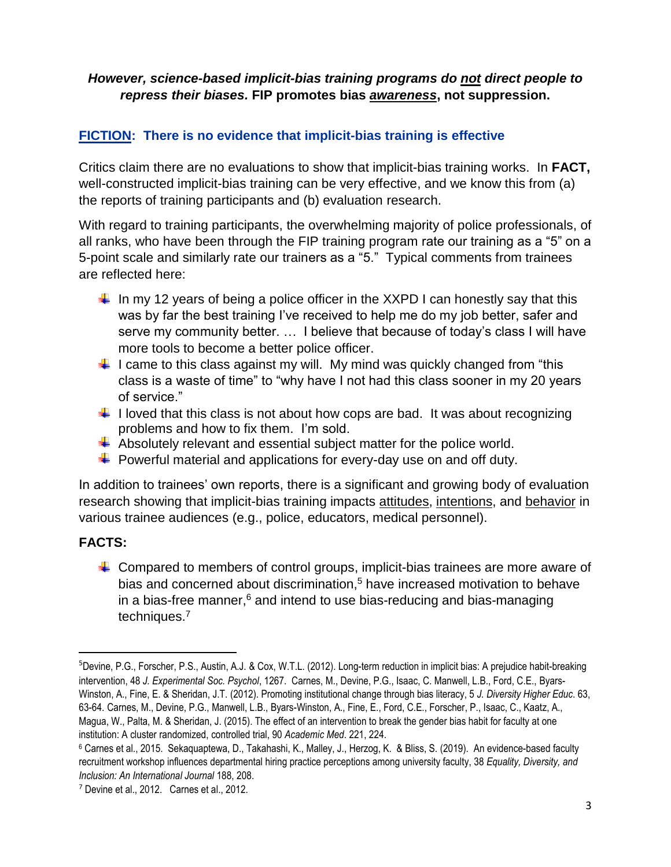#### *However, science-based implicit-bias training programs do not direct people to repress their biases.* **FIP promotes bias** *awareness***, not suppression.**

## **FICTION: There is no evidence that implicit-bias training is effective**

Critics claim there are no evaluations to show that implicit-bias training works. In **FACT,** well-constructed implicit-bias training can be very effective, and we know this from (a) the reports of training participants and (b) evaluation research.

With regard to training participants, the overwhelming majority of police professionals, of all ranks, who have been through the FIP training program rate our training as a "5" on a 5-point scale and similarly rate our trainers as a "5." Typical comments from trainees are reflected here:

- In my 12 years of being a police officer in the XXPD I can honestly say that this was by far the best training I've received to help me do my job better, safer and serve my community better. … I believe that because of today's class I will have more tools to become a better police officer.
- $\ddot{\phantom{1}}$  I came to this class against my will. My mind was quickly changed from "this class is a waste of time" to "why have I not had this class sooner in my 20 years of service."
- $\ddot{+}$  I loved that this class is not about how cops are bad. It was about recognizing problems and how to fix them. I'm sold.
- $\ddot{+}$  Absolutely relevant and essential subject matter for the police world.
- $\ddot{\phantom{1}}$  Powerful material and applications for every-day use on and off duty.

In addition to trainees' own reports, there is a significant and growing body of evaluation research showing that implicit-bias training impacts attitudes, intentions, and behavior in various trainee audiences (e.g., police, educators, medical personnel).

## **FACTS:**

 $\overline{\phantom{a}}$ 

 $\ddot{\phantom{1}}$  Compared to members of control groups, implicit-bias trainees are more aware of bias and concerned about discrimination,<sup>5</sup> have increased motivation to behave in a bias-free manner,<sup>6</sup> and intend to use bias-reducing and bias-managing techniques.<sup>7</sup>

<sup>5</sup>Devine, P.G., Forscher, P.S., Austin, A.J. & Cox, W.T.L. (2012). Long-term reduction in implicit bias: A prejudice habit-breaking intervention, 48 *J. Experimental Soc. Psychol*, 1267. Carnes, M., Devine, P.G., Isaac, C. Manwell, L.B., Ford, C.E., Byars-Winston, A., Fine, E. & Sheridan, J.T. (2012). Promoting institutional change through bias literacy, 5 *J. Diversity Higher Educ*. 63, 63-64. Carnes, M., Devine, P.G., Manwell, L.B., Byars-Winston, A., Fine, E., Ford, C.E., Forscher, P., Isaac, C., Kaatz, A., Magua, W., Palta, M. & Sheridan, J. (2015). The effect of an intervention to break the gender bias habit for faculty at one institution: A cluster randomized, controlled trial, 90 *Academic Med*. 221, 224.

<sup>6</sup> Carnes et al., 2015. Sekaquaptewa, D., Takahashi, K., Malley, J., Herzog, K. & Bliss, S. (2019). An evidence-based faculty recruitment workshop influences departmental hiring practice perceptions among university faculty, 38 *Equality, Diversity, and Inclusion: An International Journal* 188, 208.

<sup>7</sup> Devine et al., 2012. Carnes et al., 2012.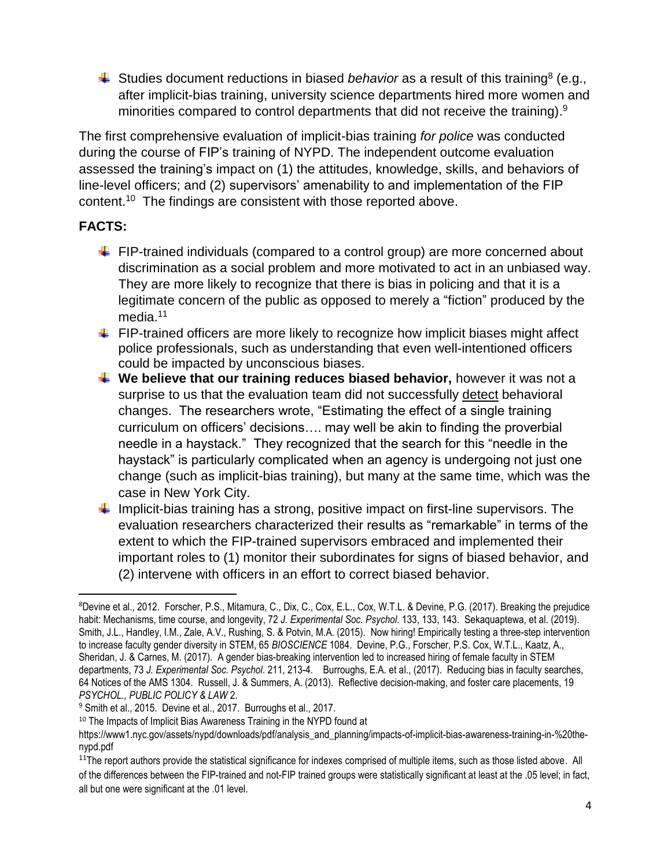Studies document reductions in biased *behavior* as a result of this training<sup>8</sup> (e.g., after implicit-bias training, university science departments hired more women and minorities compared to control departments that did not receive the training). $9$ 

The first comprehensive evaluation of implicit-bias training *for police* was conducted during the course of FIP's training of NYPD. The independent outcome evaluation assessed the training's impact on (1) the attitudes, knowledge, skills, and behaviors of line-level officers; and (2) supervisors' amenability to and implementation of the FIP content.<sup>10</sup> The findings are consistent with those reported above.

## **FACTS:**

 $\overline{a}$ 

- $\ddot{\phantom{1}}$  FIP-trained individuals (compared to a control group) are more concerned about discrimination as a social problem and more motivated to act in an unbiased way. They are more likely to recognize that there is bias in policing and that it is a legitimate concern of the public as opposed to merely a "fiction" produced by the media. 11
- $\ddot{\phantom{1}}$  FIP-trained officers are more likely to recognize how implicit biases might affect police professionals, such as understanding that even well-intentioned officers could be impacted by unconscious biases.
- **We believe that our training reduces biased behavior,** however it was not a surprise to us that the evaluation team did not successfully detect behavioral changes. The researchers wrote, "Estimating the effect of a single training curriculum on officers' decisions…. may well be akin to finding the proverbial needle in a haystack." They recognized that the search for this "needle in the haystack" is particularly complicated when an agency is undergoing not just one change (such as implicit-bias training), but many at the same time, which was the case in New York City.
- Implicit-bias training has a strong, positive impact on first-line supervisors. The evaluation researchers characterized their results as "remarkable" in terms of the extent to which the FIP-trained supervisors embraced and implemented their important roles to (1) monitor their subordinates for signs of biased behavior, and (2) intervene with officers in an effort to correct biased behavior.

<sup>8</sup>Devine et al., 2012. Forscher, P.S., Mitamura, C., Dix, C., Cox, E.L., Cox, W.T.L. & Devine, P.G. (2017). Breaking the prejudice habit: Mechanisms, time course, and longevity, 72 *J. Experimental Soc. Psychol*. 133, 133, 143. Sekaquaptewa, et al. (2019). Smith, J.L., Handley, I.M., Zale, A.V., Rushing, S. & Potvin, M.A. (2015). Now hiring! Empirically testing a three-step intervention to increase faculty gender diversity in STEM, 65 *BIOSCIENCE* 1084. Devine, P.G., Forscher, P.S. Cox, W.T.L., Kaatz, A., Sheridan, J. & Carnes, M. (2017). A gender bias-breaking intervention led to increased hiring of female faculty in STEM departments, 73 *J. Experimental Soc. Psychol*. 211, 213-4. Burroughs, E.A. et al., (2017). Reducing bias in faculty searches, 64 Notices of the AMS 1304. Russell, J. & Summers, A. (2013). Reflective decision-making, and foster care placements, 19 *PSYCHOL., PUBLIC POLICY & LAW* 2.

<sup>9</sup> Smith et al., 2015. Devine et al., 2017. Burroughs et al., 2017.

<sup>&</sup>lt;sup>10</sup> The Impacts of Implicit Bias Awareness Training in the NYPD found at

https://www1.nyc.gov/assets/nypd/downloads/pdf/analysis\_and\_planning/impacts-of-implicit-bias-awareness-training-in-%20thenypd.pdf

<sup>&</sup>lt;sup>11</sup>The report authors provide the statistical significance for indexes comprised of multiple items, such as those listed above. All of the differences between the FIP-trained and not-FIP trained groups were statistically significant at least at the .05 level; in fact, all but one were significant at the .01 level.